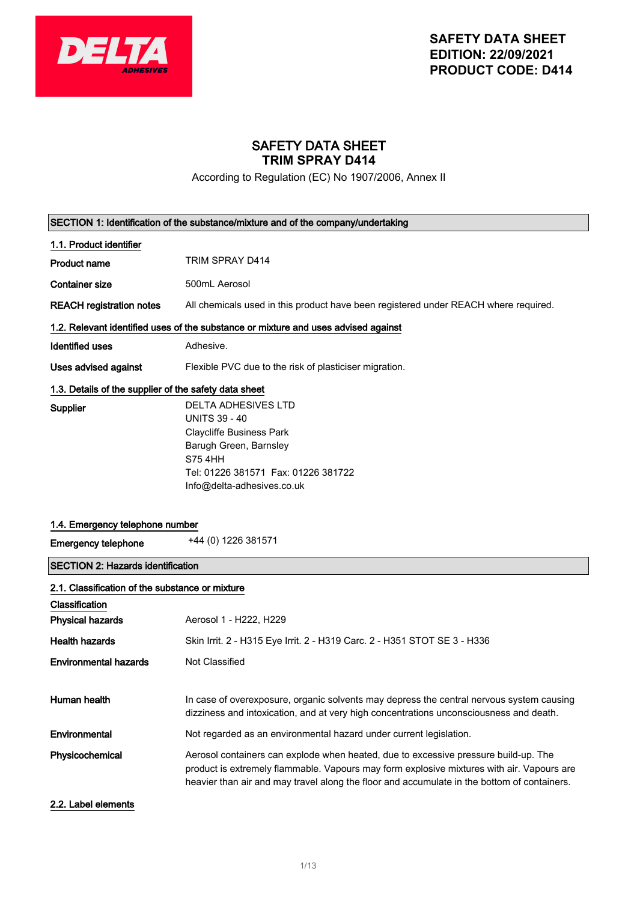

## SAFETY DATA SHEET **TRIM SPRAY D414**

According to Regulation (EC) No 1907/2006, Annex II

| SECTION 1: Identification of the substance/mixture and of the company/undertaking |                                                                                                                                                                                                                                                                                 |
|-----------------------------------------------------------------------------------|---------------------------------------------------------------------------------------------------------------------------------------------------------------------------------------------------------------------------------------------------------------------------------|
| 1.1. Product identifier                                                           |                                                                                                                                                                                                                                                                                 |
| <b>Product name</b>                                                               | TRIM SPRAY D414                                                                                                                                                                                                                                                                 |
| <b>Container size</b>                                                             | 500mL Aerosol                                                                                                                                                                                                                                                                   |
| <b>REACH registration notes</b>                                                   | All chemicals used in this product have been registered under REACH where required.                                                                                                                                                                                             |
|                                                                                   | 1.2. Relevant identified uses of the substance or mixture and uses advised against                                                                                                                                                                                              |
| <b>Identified uses</b>                                                            | Adhesive.                                                                                                                                                                                                                                                                       |
| Uses advised against                                                              | Flexible PVC due to the risk of plasticiser migration.                                                                                                                                                                                                                          |
| 1.3. Details of the supplier of the safety data sheet                             |                                                                                                                                                                                                                                                                                 |
| <b>Supplier</b>                                                                   | <b>DELTA ADHESIVES LTD</b>                                                                                                                                                                                                                                                      |
|                                                                                   | <b>UNITS 39 - 40</b>                                                                                                                                                                                                                                                            |
|                                                                                   | <b>Claycliffe Business Park</b>                                                                                                                                                                                                                                                 |
|                                                                                   | Barugh Green, Barnsley                                                                                                                                                                                                                                                          |
|                                                                                   | <b>S75 4HH</b>                                                                                                                                                                                                                                                                  |
|                                                                                   | Tel: 01226 381571 Fax: 01226 381722                                                                                                                                                                                                                                             |
|                                                                                   | Info@delta-adhesives.co.uk                                                                                                                                                                                                                                                      |
|                                                                                   |                                                                                                                                                                                                                                                                                 |
| 1.4. Emergency telephone number                                                   |                                                                                                                                                                                                                                                                                 |
|                                                                                   |                                                                                                                                                                                                                                                                                 |
| <b>Emergency telephone</b>                                                        | +44 (0) 1226 381571                                                                                                                                                                                                                                                             |
| <b>SECTION 2: Hazards identification</b>                                          |                                                                                                                                                                                                                                                                                 |
| 2.1. Classification of the substance or mixture                                   |                                                                                                                                                                                                                                                                                 |
| Classification                                                                    |                                                                                                                                                                                                                                                                                 |
| <b>Physical hazards</b>                                                           | Aerosol 1 - H222, H229                                                                                                                                                                                                                                                          |
| <b>Health hazards</b>                                                             | Skin Irrit. 2 - H315 Eye Irrit. 2 - H319 Carc. 2 - H351 STOT SE 3 - H336                                                                                                                                                                                                        |
| <b>Environmental hazards</b>                                                      | Not Classified                                                                                                                                                                                                                                                                  |
|                                                                                   |                                                                                                                                                                                                                                                                                 |
| Human health                                                                      | In case of overexposure, organic solvents may depress the central nervous system causing<br>dizziness and intoxication, and at very high concentrations unconsciousness and death.                                                                                              |
| Environmental                                                                     | Not regarded as an environmental hazard under current legislation.                                                                                                                                                                                                              |
| Physicochemical                                                                   | Aerosol containers can explode when heated, due to excessive pressure build-up. The<br>product is extremely flammable. Vapours may form explosive mixtures with air. Vapours are<br>heavier than air and may travel along the floor and accumulate in the bottom of containers. |
| 2.2. Label elements                                                               |                                                                                                                                                                                                                                                                                 |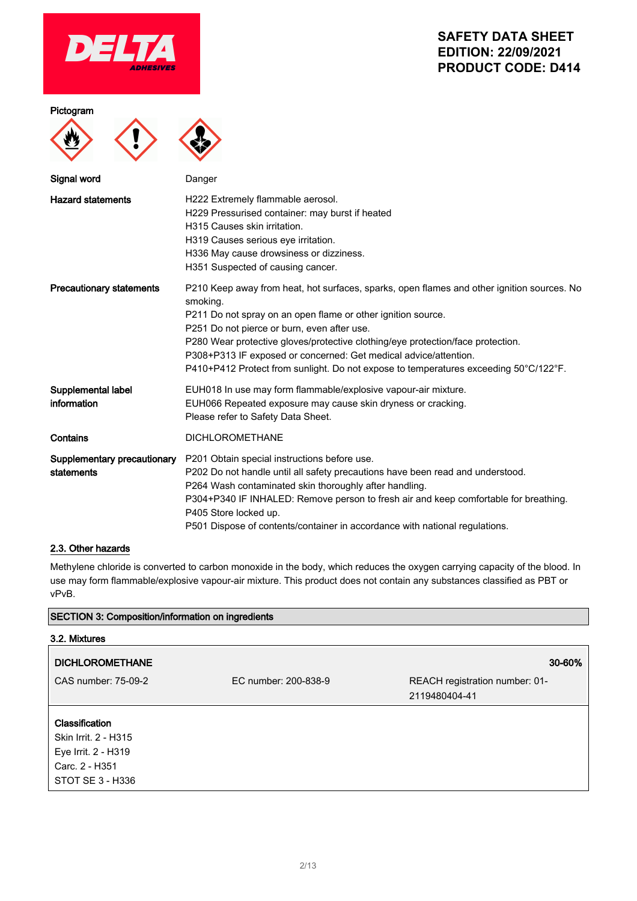

#### Pictogram





| statements |                       | P202 Do not handle until all safety precautions have been read and understood.       |
|------------|-----------------------|--------------------------------------------------------------------------------------|
|            |                       | P264 Wash contaminated skin thoroughly after handling.                               |
|            |                       | P304+P340 IF INHALED: Remove person to fresh air and keep comfortable for breathing. |
|            | P405 Store locked up. |                                                                                      |
|            |                       | P501 Dispose of contents/container in accordance with national regulations.          |

### 2.3. Other hazards

Methylene chloride is converted to carbon monoxide in the body, which reduces the oxygen carrying capacity of the blood. In use may form flammable/explosive vapour-air mixture. This product does not contain any substances classified as PBT or vPvB.

### SECTION 3: Composition/information on ingredients

| 3.2. Mixtures                                                                                              |                      |                                                 |
|------------------------------------------------------------------------------------------------------------|----------------------|-------------------------------------------------|
| <b>DICHLOROMETHANE</b>                                                                                     |                      | 30-60%                                          |
| CAS number: 75-09-2                                                                                        | EC number: 200-838-9 | REACH registration number: 01-<br>2119480404-41 |
| <b>Classification</b><br>Skin Irrit. 2 - H315<br>Eye Irrit. 2 - H319<br>Carc. 2 - H351<br>STOT SE 3 - H336 |                      |                                                 |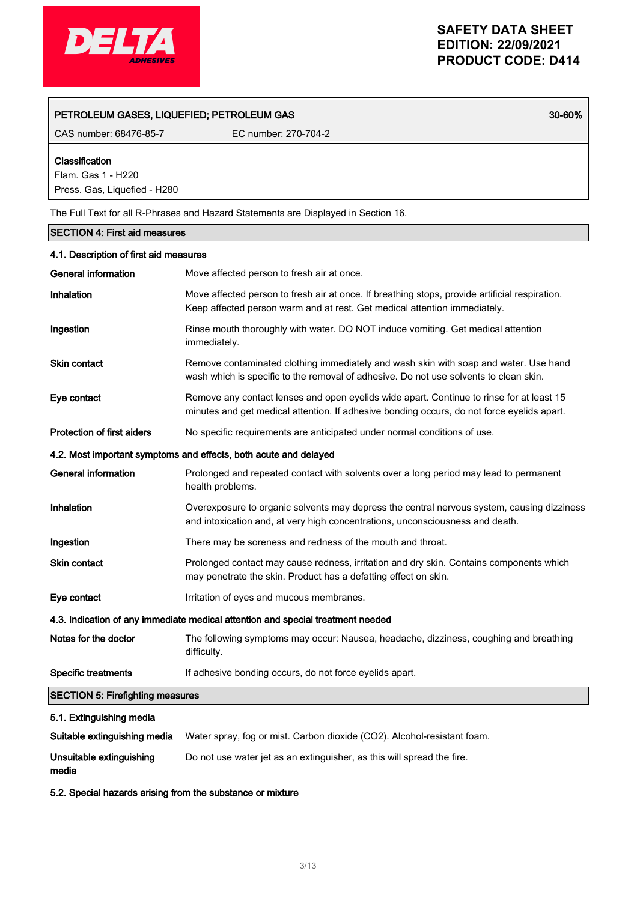

### PETROLEUM GASES, LIQUEFIED; PETROLEUM GAS 30-60%

CAS number: 68476-85-7 EC number: 270-704-2

Classification

Flam. Gas 1 - H220 Press. Gas, Liquefied - H280

The Full Text for all R-Phrases and Hazard Statements are Displayed in Section 16.

| <b>SECTION 4: First aid measures</b>    |                                                                                                                                                                                        |  |
|-----------------------------------------|----------------------------------------------------------------------------------------------------------------------------------------------------------------------------------------|--|
| 4.1. Description of first aid measures  |                                                                                                                                                                                        |  |
| <b>General information</b>              | Move affected person to fresh air at once.                                                                                                                                             |  |
| <b>Inhalation</b>                       | Move affected person to fresh air at once. If breathing stops, provide artificial respiration.<br>Keep affected person warm and at rest. Get medical attention immediately.            |  |
| Ingestion                               | Rinse mouth thoroughly with water. DO NOT induce vomiting. Get medical attention<br>immediately.                                                                                       |  |
| <b>Skin contact</b>                     | Remove contaminated clothing immediately and wash skin with soap and water. Use hand<br>wash which is specific to the removal of adhesive. Do not use solvents to clean skin.          |  |
| Eye contact                             | Remove any contact lenses and open eyelids wide apart. Continue to rinse for at least 15<br>minutes and get medical attention. If adhesive bonding occurs, do not force eyelids apart. |  |
| <b>Protection of first aiders</b>       | No specific requirements are anticipated under normal conditions of use.                                                                                                               |  |
|                                         | 4.2. Most important symptoms and effects, both acute and delayed                                                                                                                       |  |
| General information                     | Prolonged and repeated contact with solvents over a long period may lead to permanent<br>health problems.                                                                              |  |
| Inhalation                              | Overexposure to organic solvents may depress the central nervous system, causing dizziness<br>and intoxication and, at very high concentrations, unconsciousness and death.            |  |
| Ingestion                               | There may be soreness and redness of the mouth and throat.                                                                                                                             |  |
| <b>Skin contact</b>                     | Prolonged contact may cause redness, irritation and dry skin. Contains components which<br>may penetrate the skin. Product has a defatting effect on skin.                             |  |
| Eye contact                             | Irritation of eyes and mucous membranes.                                                                                                                                               |  |
|                                         | 4.3. Indication of any immediate medical attention and special treatment needed                                                                                                        |  |
| Notes for the doctor                    | The following symptoms may occur: Nausea, headache, dizziness, coughing and breathing<br>difficulty.                                                                                   |  |
| <b>Specific treatments</b>              | If adhesive bonding occurs, do not force eyelids apart.                                                                                                                                |  |
| <b>SECTION 5: Firefighting measures</b> |                                                                                                                                                                                        |  |
| 5.1. Extinguishing media                |                                                                                                                                                                                        |  |
| Suitable extinguishing media            | Water spray, fog or mist. Carbon dioxide (CO2). Alcohol-resistant foam.                                                                                                                |  |
| Unsuitable extinguishing<br>media       | Do not use water jet as an extinguisher, as this will spread the fire.                                                                                                                 |  |

5.2. Special hazards arising from the substance or mixture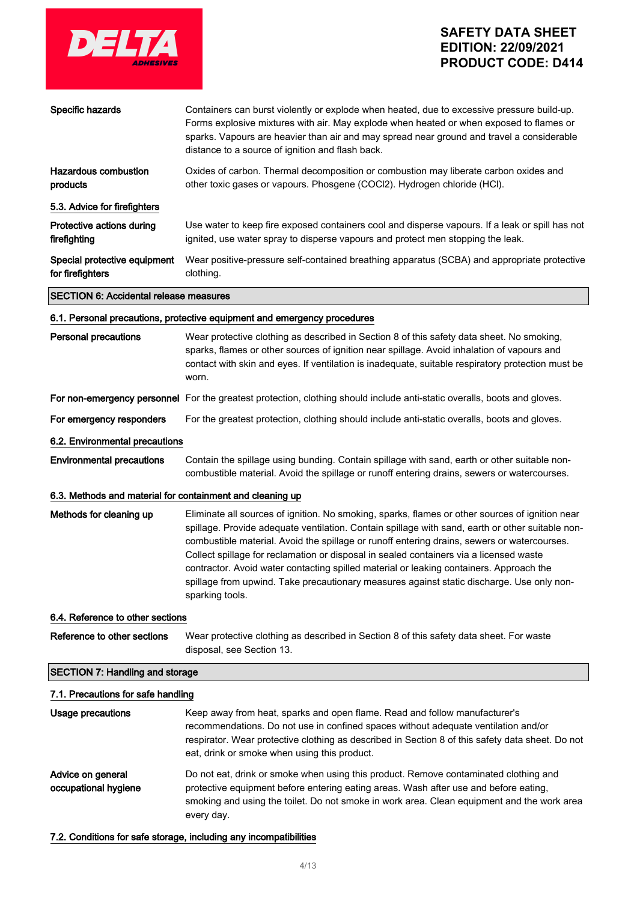

| Specific hazards                                          | Containers can burst violently or explode when heated, due to excessive pressure build-up.<br>Forms explosive mixtures with air. May explode when heated or when exposed to flames or<br>sparks. Vapours are heavier than air and may spread near ground and travel a considerable<br>distance to a source of ignition and flash back.                                                                                                                                                                                                                                                                  |
|-----------------------------------------------------------|---------------------------------------------------------------------------------------------------------------------------------------------------------------------------------------------------------------------------------------------------------------------------------------------------------------------------------------------------------------------------------------------------------------------------------------------------------------------------------------------------------------------------------------------------------------------------------------------------------|
| <b>Hazardous combustion</b><br>products                   | Oxides of carbon. Thermal decomposition or combustion may liberate carbon oxides and<br>other toxic gases or vapours. Phosgene (COCl2). Hydrogen chloride (HCl).                                                                                                                                                                                                                                                                                                                                                                                                                                        |
| 5.3. Advice for firefighters                              |                                                                                                                                                                                                                                                                                                                                                                                                                                                                                                                                                                                                         |
| Protective actions during<br>firefighting                 | Use water to keep fire exposed containers cool and disperse vapours. If a leak or spill has not<br>ignited, use water spray to disperse vapours and protect men stopping the leak.                                                                                                                                                                                                                                                                                                                                                                                                                      |
| Special protective equipment<br>for firefighters          | Wear positive-pressure self-contained breathing apparatus (SCBA) and appropriate protective<br>clothing.                                                                                                                                                                                                                                                                                                                                                                                                                                                                                                |
| <b>SECTION 6: Accidental release measures</b>             |                                                                                                                                                                                                                                                                                                                                                                                                                                                                                                                                                                                                         |
|                                                           | 6.1. Personal precautions, protective equipment and emergency procedures                                                                                                                                                                                                                                                                                                                                                                                                                                                                                                                                |
| <b>Personal precautions</b>                               | Wear protective clothing as described in Section 8 of this safety data sheet. No smoking,<br>sparks, flames or other sources of ignition near spillage. Avoid inhalation of vapours and<br>contact with skin and eyes. If ventilation is inadequate, suitable respiratory protection must be<br>worn.                                                                                                                                                                                                                                                                                                   |
|                                                           | For non-emergency personnel For the greatest protection, clothing should include anti-static overalls, boots and gloves.                                                                                                                                                                                                                                                                                                                                                                                                                                                                                |
| For emergency responders                                  | For the greatest protection, clothing should include anti-static overalls, boots and gloves.                                                                                                                                                                                                                                                                                                                                                                                                                                                                                                            |
| 6.2. Environmental precautions                            |                                                                                                                                                                                                                                                                                                                                                                                                                                                                                                                                                                                                         |
| <b>Environmental precautions</b>                          | Contain the spillage using bunding. Contain spillage with sand, earth or other suitable non-<br>combustible material. Avoid the spillage or runoff entering drains, sewers or watercourses.                                                                                                                                                                                                                                                                                                                                                                                                             |
| 6.3. Methods and material for containment and cleaning up |                                                                                                                                                                                                                                                                                                                                                                                                                                                                                                                                                                                                         |
| Methods for cleaning up                                   | Eliminate all sources of ignition. No smoking, sparks, flames or other sources of ignition near<br>spillage. Provide adequate ventilation. Contain spillage with sand, earth or other suitable non-<br>combustible material. Avoid the spillage or runoff entering drains, sewers or watercourses.<br>Collect spillage for reclamation or disposal in sealed containers via a licensed waste<br>contractor. Avoid water contacting spilled material or leaking containers. Approach the<br>spillage from upwind. Take precautionary measures against static discharge. Use only non-<br>sparking tools. |
| 6.4. Reference to other sections                          |                                                                                                                                                                                                                                                                                                                                                                                                                                                                                                                                                                                                         |
| Reference to other sections                               | Wear protective clothing as described in Section 8 of this safety data sheet. For waste<br>disposal, see Section 13.                                                                                                                                                                                                                                                                                                                                                                                                                                                                                    |
| <b>SECTION 7: Handling and storage</b>                    |                                                                                                                                                                                                                                                                                                                                                                                                                                                                                                                                                                                                         |
| 7.1. Precautions for safe handling                        |                                                                                                                                                                                                                                                                                                                                                                                                                                                                                                                                                                                                         |
| Usage precautions                                         | Keep away from heat, sparks and open flame. Read and follow manufacturer's<br>recommendations. Do not use in confined spaces without adequate ventilation and/or<br>respirator. Wear protective clothing as described in Section 8 of this safety data sheet. Do not<br>eat, drink or smoke when using this product.                                                                                                                                                                                                                                                                                    |

Advice on general occupational hygiene Do not eat, drink or smoke when using this product. Remove contaminated clothing and protective equipment before entering eating areas. Wash after use and before eating, smoking and using the toilet. Do not smoke in work area. Clean equipment and the work area every day.

7.2. Conditions for safe storage, including any incompatibilities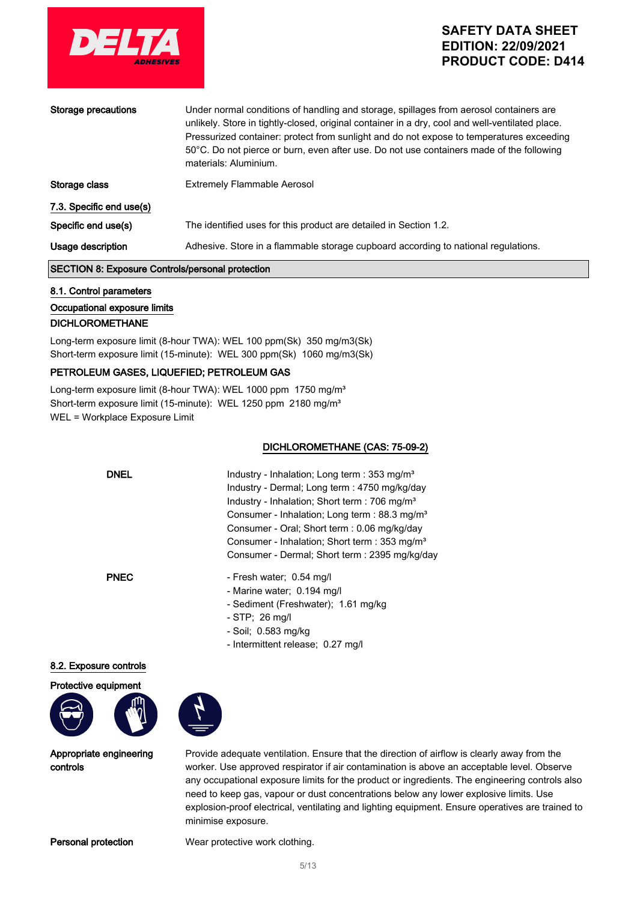

| Storage precautions      | Under normal conditions of handling and storage, spillages from aerosol containers are<br>unlikely. Store in tightly-closed, original container in a dry, cool and well-ventilated place.<br>Pressurized container: protect from sunlight and do not expose to temperatures exceeding<br>50°C. Do not pierce or burn, even after use. Do not use containers made of the following<br>materials: Aluminium. |
|--------------------------|------------------------------------------------------------------------------------------------------------------------------------------------------------------------------------------------------------------------------------------------------------------------------------------------------------------------------------------------------------------------------------------------------------|
| Storage class            | <b>Extremely Flammable Aerosol</b>                                                                                                                                                                                                                                                                                                                                                                         |
| 7.3. Specific end use(s) |                                                                                                                                                                                                                                                                                                                                                                                                            |
| Specific end use(s)      | The identified uses for this product are detailed in Section 1.2.                                                                                                                                                                                                                                                                                                                                          |
| Usage description        | Adhesive. Store in a flammable storage cupboard according to national regulations.                                                                                                                                                                                                                                                                                                                         |
|                          | Arabalah ang ang kalung taun t                                                                                                                                                                                                                                                                                                                                                                             |

#### SECTION 8: Exposure Controls/personal protection

8.1. Control parameters Occupational exposure limits

#### DICHLOROMETHANE

Long-term exposure limit (8-hour TWA): WEL 100 ppm(Sk) 350 mg/m3(Sk) Short-term exposure limit (15-minute): WEL 300 ppm(Sk) 1060 mg/m3(Sk)

### PETROLEUM GASES, LIQUEFIED; PETROLEUM GAS

Long-term exposure limit (8-hour TWA): WEL 1000 ppm 1750 mg/m<sup>3</sup> Short-term exposure limit (15-minute): WEL 1250 ppm 2180 mg/m<sup>3</sup> WEL = Workplace Exposure Limit

#### DICHLOROMETHANE (CAS: 75-09-2)

| <b>DNEL</b> | Industry - Inhalation; Long term : 353 mg/m <sup>3</sup><br>Industry - Dermal; Long term : 4750 mg/kg/day<br>Industry - Inhalation; Short term : 706 mg/m <sup>3</sup><br>Consumer - Inhalation; Long term : 88.3 mg/m <sup>3</sup><br>Consumer - Oral; Short term : 0.06 mg/kg/day<br>Consumer - Inhalation; Short term : 353 mg/m <sup>3</sup><br>Consumer - Dermal; Short term : 2395 mg/kg/day |
|-------------|----------------------------------------------------------------------------------------------------------------------------------------------------------------------------------------------------------------------------------------------------------------------------------------------------------------------------------------------------------------------------------------------------|
| <b>PNEC</b> | - Fresh water; 0.54 mg/l<br>- Marine water; 0.194 mg/l                                                                                                                                                                                                                                                                                                                                             |

- Sediment (Freshwater); 1.61 mg/kg
- STP; 26 mg/l
- Soil; 0.583 mg/kg
- Intermittent release; 0.27 mg/l

#### 8.2. Exposure controls





Appropriate engineering controls

Provide adequate ventilation. Ensure that the direction of airflow is clearly away from the worker. Use approved respirator if air contamination is above an acceptable level. Observe any occupational exposure limits for the product or ingredients. The engineering controls also need to keep gas, vapour or dust concentrations below any lower explosive limits. Use explosion-proof electrical, ventilating and lighting equipment. Ensure operatives are trained to minimise exposure.

Personal protection Wear protective work clothing.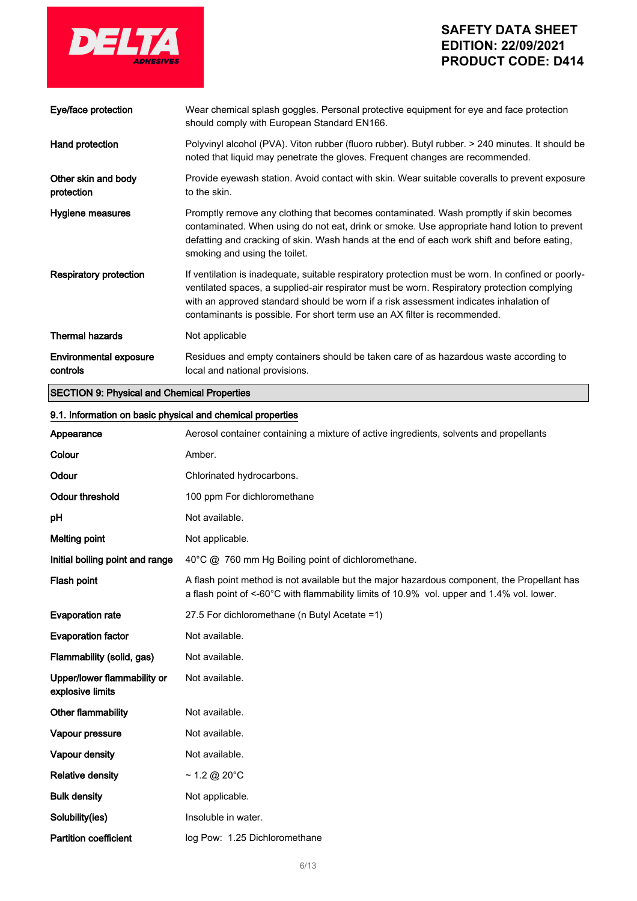

Vapour density **Not** available. Relative density  $-1.2 \text{ @ } 20^{\circ}$ C Bulk density **Not** applicable.

Solubility(ies) **Insoluble in water.** 

Partition coefficient log Pow: 1.25 Dichloromethane

# **SAFETY DATA SHEET EDITION: 22/09/2021 PRODUCT CODE: D414**

| Eye/face protection                                        | Wear chemical splash goggles. Personal protective equipment for eye and face protection<br>should comply with European Standard EN166.                                                                                                                                                                                                                                  |
|------------------------------------------------------------|-------------------------------------------------------------------------------------------------------------------------------------------------------------------------------------------------------------------------------------------------------------------------------------------------------------------------------------------------------------------------|
| Hand protection                                            | Polyvinyl alcohol (PVA). Viton rubber (fluoro rubber). Butyl rubber. > 240 minutes. It should be<br>noted that liquid may penetrate the gloves. Frequent changes are recommended.                                                                                                                                                                                       |
| Other skin and body<br>protection                          | Provide eyewash station. Avoid contact with skin. Wear suitable coveralls to prevent exposure<br>to the skin.                                                                                                                                                                                                                                                           |
| Hygiene measures                                           | Promptly remove any clothing that becomes contaminated. Wash promptly if skin becomes<br>contaminated. When using do not eat, drink or smoke. Use appropriate hand lotion to prevent<br>defatting and cracking of skin. Wash hands at the end of each work shift and before eating,<br>smoking and using the toilet.                                                    |
| <b>Respiratory protection</b>                              | If ventilation is inadequate, suitable respiratory protection must be worn. In confined or poorly-<br>ventilated spaces, a supplied-air respirator must be worn. Respiratory protection complying<br>with an approved standard should be worn if a risk assessment indicates inhalation of<br>contaminants is possible. For short term use an AX filter is recommended. |
| <b>Thermal hazards</b>                                     | Not applicable                                                                                                                                                                                                                                                                                                                                                          |
| <b>Environmental exposure</b><br>controls                  | Residues and empty containers should be taken care of as hazardous waste according to<br>local and national provisions.                                                                                                                                                                                                                                                 |
| <b>SECTION 9: Physical and Chemical Properties</b>         |                                                                                                                                                                                                                                                                                                                                                                         |
| 9.1. Information on basic physical and chemical properties |                                                                                                                                                                                                                                                                                                                                                                         |
| Appearance                                                 | Aerosol container containing a mixture of active ingredients, solvents and propellants                                                                                                                                                                                                                                                                                  |
| Colour                                                     | Amber.                                                                                                                                                                                                                                                                                                                                                                  |
| Odour                                                      | Chlorinated hydrocarbons.                                                                                                                                                                                                                                                                                                                                               |
| <b>Odour threshold</b>                                     | 100 ppm For dichloromethane                                                                                                                                                                                                                                                                                                                                             |
| рH                                                         | Not available.                                                                                                                                                                                                                                                                                                                                                          |
| <b>Melting point</b>                                       | Not applicable.                                                                                                                                                                                                                                                                                                                                                         |
| Initial boiling point and range                            | 40°C @ 760 mm Hg Boiling point of dichloromethane.                                                                                                                                                                                                                                                                                                                      |
| Flash point                                                | A flash point method is not available but the major hazardous component, the Propellant has<br>a flash point of <-60°C with flammability limits of 10.9% vol. upper and 1.4% vol. lower.                                                                                                                                                                                |
| <b>Evaporation rate</b>                                    | 27.5 For dichloromethane (n Butyl Acetate =1)                                                                                                                                                                                                                                                                                                                           |
| <b>Evaporation factor</b>                                  | Not available.                                                                                                                                                                                                                                                                                                                                                          |
| Flammability (solid, gas)                                  | Not available.                                                                                                                                                                                                                                                                                                                                                          |
| Upper/lower flammability or<br>explosive limits            | Not available.                                                                                                                                                                                                                                                                                                                                                          |
| Other flammability                                         | Not available.                                                                                                                                                                                                                                                                                                                                                          |
| Vapour pressure                                            | Not available.                                                                                                                                                                                                                                                                                                                                                          |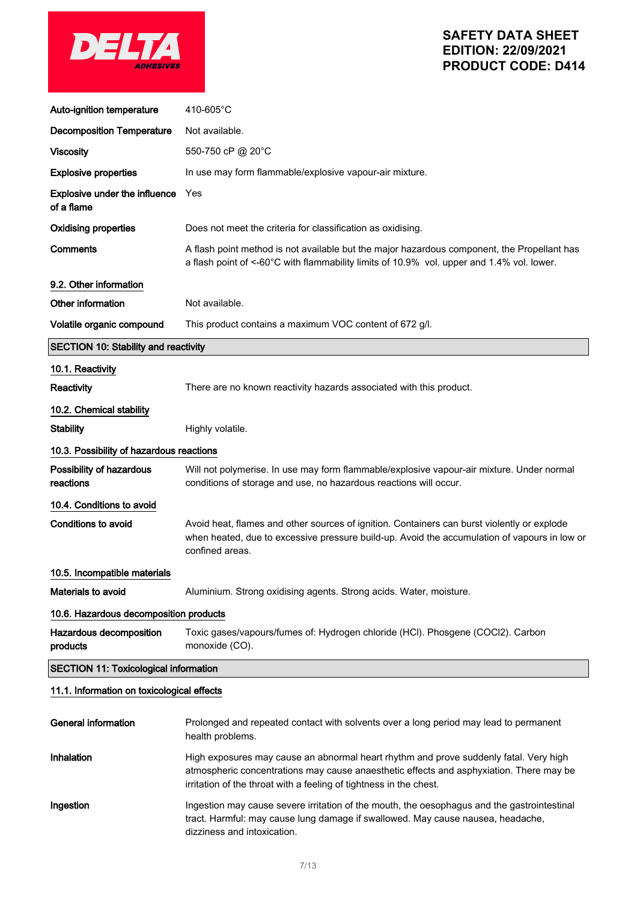

| Auto-ignition temperature                    | 410-605°C                                                                                                                                                                                                                                              |
|----------------------------------------------|--------------------------------------------------------------------------------------------------------------------------------------------------------------------------------------------------------------------------------------------------------|
| <b>Decomposition Temperature</b>             | Not available.                                                                                                                                                                                                                                         |
| <b>Viscosity</b>                             | 550-750 cP @ 20°C                                                                                                                                                                                                                                      |
| <b>Explosive properties</b>                  | In use may form flammable/explosive vapour-air mixture.                                                                                                                                                                                                |
| Explosive under the influence<br>of a flame  | Yes                                                                                                                                                                                                                                                    |
| <b>Oxidising properties</b>                  | Does not meet the criteria for classification as oxidising.                                                                                                                                                                                            |
| Comments                                     | A flash point method is not available but the major hazardous component, the Propellant has<br>a flash point of <-60°C with flammability limits of 10.9% vol. upper and 1.4% vol. lower.                                                               |
| 9.2. Other information                       |                                                                                                                                                                                                                                                        |
| Other information                            | Not available.                                                                                                                                                                                                                                         |
| Volatile organic compound                    | This product contains a maximum VOC content of 672 g/l.                                                                                                                                                                                                |
| <b>SECTION 10: Stability and reactivity</b>  |                                                                                                                                                                                                                                                        |
| 10.1. Reactivity                             |                                                                                                                                                                                                                                                        |
| Reactivity                                   | There are no known reactivity hazards associated with this product.                                                                                                                                                                                    |
| 10.2. Chemical stability                     |                                                                                                                                                                                                                                                        |
| <b>Stability</b>                             | Highly volatile.                                                                                                                                                                                                                                       |
| 10.3. Possibility of hazardous reactions     |                                                                                                                                                                                                                                                        |
| Possibility of hazardous<br>reactions        | Will not polymerise. In use may form flammable/explosive vapour-air mixture. Under normal<br>conditions of storage and use, no hazardous reactions will occur.                                                                                         |
| 10.4. Conditions to avoid                    |                                                                                                                                                                                                                                                        |
| <b>Conditions to avoid</b>                   | Avoid heat, flames and other sources of ignition. Containers can burst violently or explode<br>when heated, due to excessive pressure build-up. Avoid the accumulation of vapours in low or<br>confined areas.                                         |
| 10.5. Incompatible materials                 |                                                                                                                                                                                                                                                        |
| <b>Materials to avoid</b>                    | Aluminium. Strong oxidising agents. Strong acids. Water, moisture.                                                                                                                                                                                     |
| 10.6. Hazardous decomposition products       |                                                                                                                                                                                                                                                        |
| Hazardous decomposition<br>products          | Toxic gases/vapours/fumes of: Hydrogen chloride (HCl). Phosgene (COCl2). Carbon<br>monoxide (CO).                                                                                                                                                      |
| <b>SECTION 11: Toxicological information</b> |                                                                                                                                                                                                                                                        |
| 11.1. Information on toxicological effects   |                                                                                                                                                                                                                                                        |
| <b>General information</b>                   | Prolonged and repeated contact with solvents over a long period may lead to permanent<br>health problems.                                                                                                                                              |
| Inhalation                                   | High exposures may cause an abnormal heart rhythm and prove suddenly fatal. Very high<br>atmospheric concentrations may cause anaesthetic effects and asphyxiation. There may be<br>irritation of the throat with a feeling of tightness in the chest. |

Ingestion Ingestion may cause severe irritation of the mouth, the oesophagus and the gastrointestinal tract. Harmful: may cause lung damage if swallowed. May cause nausea, headache, dizziness and intoxication.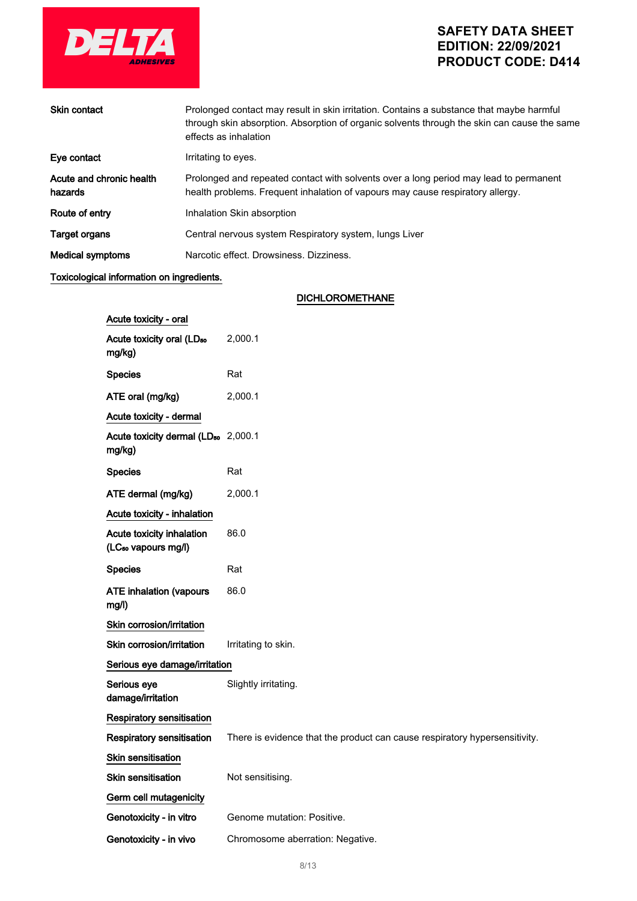

| <b>Skin contact</b>                 | Prolonged contact may result in skin irritation. Contains a substance that maybe harmful<br>through skin absorption. Absorption of organic solvents through the skin can cause the same<br>effects as inhalation |
|-------------------------------------|------------------------------------------------------------------------------------------------------------------------------------------------------------------------------------------------------------------|
| Eve contact                         | Irritating to eyes.                                                                                                                                                                                              |
| Acute and chronic health<br>hazards | Prolonged and repeated contact with solvents over a long period may lead to permanent<br>health problems. Frequent inhalation of vapours may cause respiratory allergy.                                          |
| Route of entry                      | Inhalation Skin absorption                                                                                                                                                                                       |
| <b>Target organs</b>                | Central nervous system Respiratory system, lungs Liver                                                                                                                                                           |
| <b>Medical symptoms</b>             | Narcotic effect. Drowsiness. Dizziness.                                                                                                                                                                          |
|                                     |                                                                                                                                                                                                                  |

### Toxicological information on ingredients.

### DICHLOROMETHANE

| Acute toxicity - oral                                        |                                                                            |
|--------------------------------------------------------------|----------------------------------------------------------------------------|
| Acute toxicity oral (LD <sub>50</sub><br>mg/kg)              | 2,000.1                                                                    |
| <b>Species</b>                                               | Rat                                                                        |
| ATE oral (mg/kg)                                             | 2,000.1                                                                    |
| Acute toxicity - dermal                                      |                                                                            |
| Acute toxicity dermal (LD <sub>50</sub> 2,000.1<br>mg/kg)    |                                                                            |
| <b>Species</b>                                               | Rat                                                                        |
| ATE dermal (mg/kg)                                           | 2,000.1                                                                    |
| Acute toxicity - inhalation                                  |                                                                            |
| Acute toxicity inhalation<br>(LC <sub>so</sub> vapours mg/l) | 86.0                                                                       |
| <b>Species</b>                                               | Rat                                                                        |
| <b>ATE inhalation (vapours</b><br>mg/l)                      | 86.0                                                                       |
| Skin corrosion/irritation                                    |                                                                            |
| Skin corrosion/irritation                                    | Irritating to skin.                                                        |
| Serious eye damage/irritation                                |                                                                            |
| Serious eye<br>damage/irritation                             | Slightly irritating.                                                       |
| <b>Respiratory sensitisation</b>                             |                                                                            |
| Respiratory sensitisation                                    | There is evidence that the product can cause respiratory hypersensitivity. |
| <b>Skin sensitisation</b>                                    |                                                                            |
| <b>Skin sensitisation</b>                                    | Not sensitising.                                                           |
| Germ cell mutagenicity                                       |                                                                            |
| Genotoxicity - in vitro                                      | Genome mutation: Positive.                                                 |
| Genotoxicity - in vivo                                       | Chromosome aberration: Negative.                                           |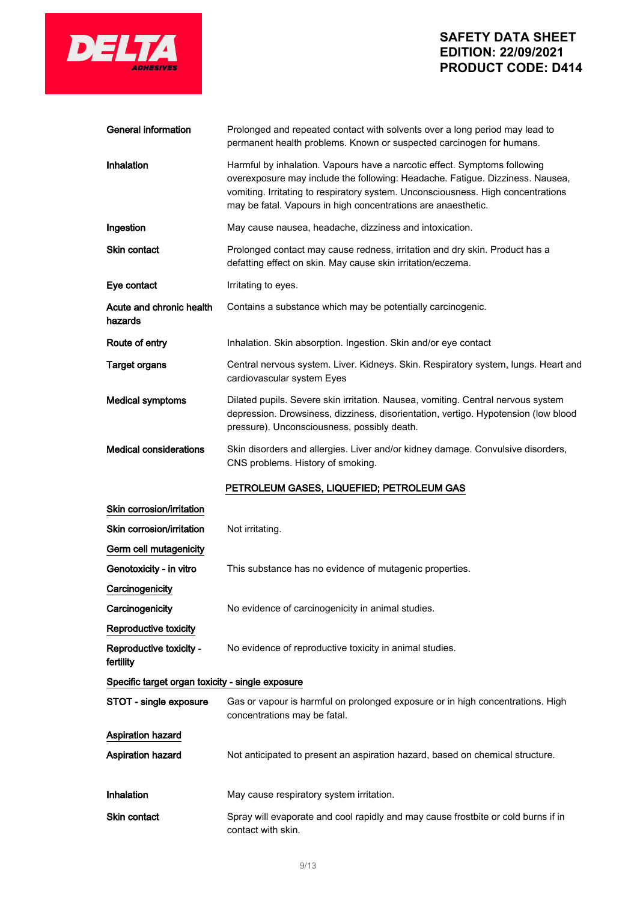

 $\mathcal{L}^{\text{max}}_{\text{max}}$  and  $\mathcal{L}^{\text{max}}_{\text{max}}$ 

## **SAFETY DATA SHEET EDITION: 22/09/2021 PRODUCT CODE: D414**

| General information                              | Prolonged and repeated contact with solvents over a long period may lead to<br>permanent health problems. Known or suspected carcinogen for humans.                                                                                                                                                             |
|--------------------------------------------------|-----------------------------------------------------------------------------------------------------------------------------------------------------------------------------------------------------------------------------------------------------------------------------------------------------------------|
| <b>Inhalation</b>                                | Harmful by inhalation. Vapours have a narcotic effect. Symptoms following<br>overexposure may include the following: Headache. Fatigue. Dizziness. Nausea,<br>vomiting. Irritating to respiratory system. Unconsciousness. High concentrations<br>may be fatal. Vapours in high concentrations are anaesthetic. |
| Ingestion                                        | May cause nausea, headache, dizziness and intoxication.                                                                                                                                                                                                                                                         |
| Skin contact                                     | Prolonged contact may cause redness, irritation and dry skin. Product has a<br>defatting effect on skin. May cause skin irritation/eczema.                                                                                                                                                                      |
| Eye contact                                      | Irritating to eyes.                                                                                                                                                                                                                                                                                             |
| Acute and chronic health<br>hazards              | Contains a substance which may be potentially carcinogenic.                                                                                                                                                                                                                                                     |
| Route of entry                                   | Inhalation. Skin absorption. Ingestion. Skin and/or eye contact                                                                                                                                                                                                                                                 |
| <b>Target organs</b>                             | Central nervous system. Liver. Kidneys. Skin. Respiratory system, lungs. Heart and<br>cardiovascular system Eyes                                                                                                                                                                                                |
| <b>Medical symptoms</b>                          | Dilated pupils. Severe skin irritation. Nausea, vomiting. Central nervous system<br>depression. Drowsiness, dizziness, disorientation, vertigo. Hypotension (low blood<br>pressure). Unconsciousness, possibly death.                                                                                           |
| <b>Medical considerations</b>                    | Skin disorders and allergies. Liver and/or kidney damage. Convulsive disorders,<br>CNS problems. History of smoking.                                                                                                                                                                                            |
|                                                  | PETROLEUM GASES, LIQUEFIED; PETROLEUM GAS                                                                                                                                                                                                                                                                       |
| Skin corrosion/irritation                        |                                                                                                                                                                                                                                                                                                                 |
| Skin corrosion/irritation                        | Not irritating.                                                                                                                                                                                                                                                                                                 |
| Germ cell mutagenicity                           |                                                                                                                                                                                                                                                                                                                 |
| Genotoxicity - in vitro                          | This substance has no evidence of mutagenic properties.                                                                                                                                                                                                                                                         |
| Carcinogenicity                                  |                                                                                                                                                                                                                                                                                                                 |
| Carcinogenicity                                  | No evidence of carcinogenicity in animal studies.                                                                                                                                                                                                                                                               |
| Reproductive toxicity                            |                                                                                                                                                                                                                                                                                                                 |
| Reproductive toxicity -<br>fertility             | No evidence of reproductive toxicity in animal studies.                                                                                                                                                                                                                                                         |
| Specific target organ toxicity - single exposure |                                                                                                                                                                                                                                                                                                                 |
| STOT - single exposure                           | Gas or vapour is harmful on prolonged exposure or in high concentrations. High<br>concentrations may be fatal.                                                                                                                                                                                                  |
| <b>Aspiration hazard</b>                         |                                                                                                                                                                                                                                                                                                                 |
| Aspiration hazard                                | Not anticipated to present an aspiration hazard, based on chemical structure.                                                                                                                                                                                                                                   |
|                                                  |                                                                                                                                                                                                                                                                                                                 |
| Inhalation                                       | May cause respiratory system irritation.                                                                                                                                                                                                                                                                        |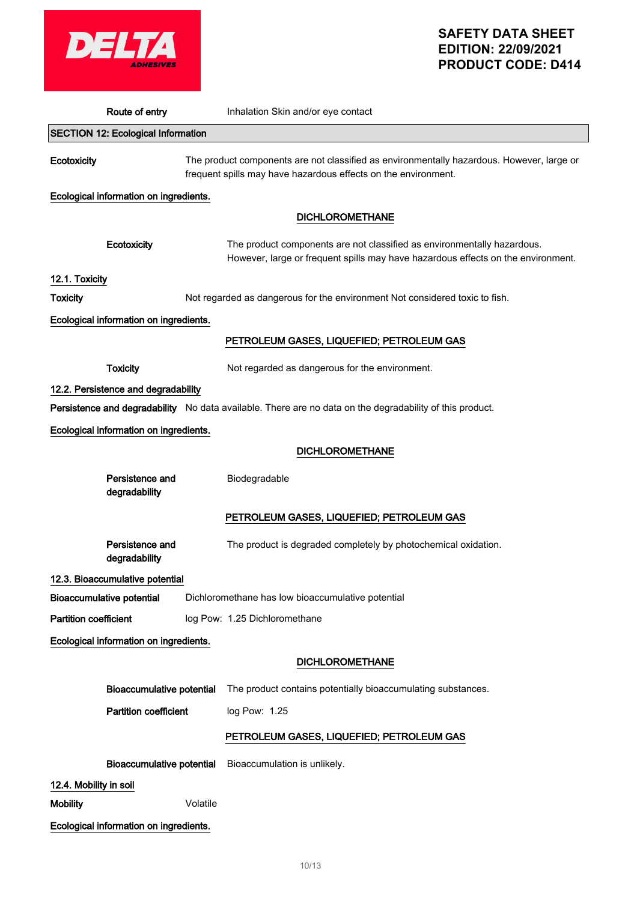

| Route of entry                            |          | Inhalation Skin and/or eye contact                                                                                                                          |
|-------------------------------------------|----------|-------------------------------------------------------------------------------------------------------------------------------------------------------------|
| <b>SECTION 12: Ecological Information</b> |          |                                                                                                                                                             |
| Ecotoxicity                               |          | The product components are not classified as environmentally hazardous. However, large or<br>frequent spills may have hazardous effects on the environment. |
| Ecological information on ingredients.    |          |                                                                                                                                                             |
|                                           |          | <b>DICHLOROMETHANE</b>                                                                                                                                      |
| Ecotoxicity                               |          | The product components are not classified as environmentally hazardous.<br>However, large or frequent spills may have hazardous effects on the environment. |
| 12.1. Toxicity                            |          |                                                                                                                                                             |
| <b>Toxicity</b>                           |          | Not regarded as dangerous for the environment Not considered toxic to fish.                                                                                 |
| Ecological information on ingredients.    |          |                                                                                                                                                             |
|                                           |          | PETROLEUM GASES, LIQUEFIED; PETROLEUM GAS                                                                                                                   |
| <b>Toxicity</b>                           |          | Not regarded as dangerous for the environment.                                                                                                              |
| 12.2. Persistence and degradability       |          |                                                                                                                                                             |
|                                           |          | Persistence and degradability No data available. There are no data on the degradability of this product.                                                    |
| Ecological information on ingredients.    |          |                                                                                                                                                             |
|                                           |          | <b>DICHLOROMETHANE</b>                                                                                                                                      |
| Persistence and<br>degradability          |          | Biodegradable                                                                                                                                               |
|                                           |          | PETROLEUM GASES, LIQUEFIED; PETROLEUM GAS                                                                                                                   |
| Persistence and<br>degradability          |          | The product is degraded completely by photochemical oxidation.                                                                                              |
| 12.3. Bioaccumulative potential           |          |                                                                                                                                                             |
| Bioaccumulative potential                 |          | Dichloromethane has low bioaccumulative potential                                                                                                           |
| <b>Partition coefficient</b>              |          | log Pow: 1.25 Dichloromethane                                                                                                                               |
| Ecological information on ingredients.    |          |                                                                                                                                                             |
|                                           |          | <b>DICHLOROMETHANE</b>                                                                                                                                      |
| <b>Bioaccumulative potential</b>          |          | The product contains potentially bioaccumulating substances.                                                                                                |
| <b>Partition coefficient</b>              |          | log Pow: 1.25                                                                                                                                               |
|                                           |          | PETROLEUM GASES, LIQUEFIED; PETROLEUM GAS                                                                                                                   |
| <b>Bioaccumulative potential</b>          |          | Bioaccumulation is unlikely.                                                                                                                                |
| 12.4. Mobility in soil                    |          |                                                                                                                                                             |
| <b>Mobility</b>                           | Volatile |                                                                                                                                                             |
| Ecological information on ingredients.    |          |                                                                                                                                                             |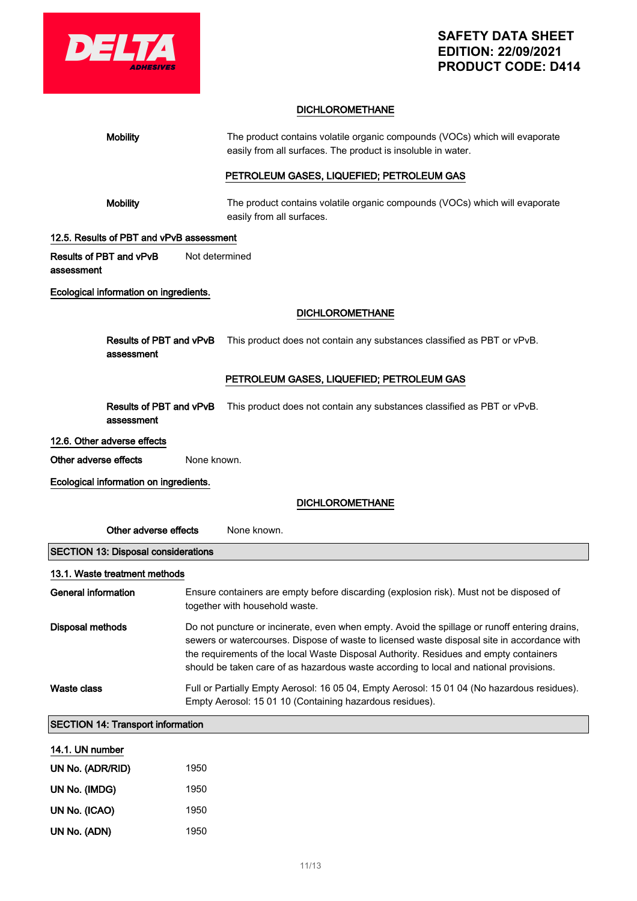

### DICHLOROMETHANE

| <b>Mobility</b>                            |                                                                                                                                                                                                                                                                                                                                                                                 | The product contains volatile organic compounds (VOCs) which will evaporate<br>easily from all surfaces. The product is insoluble in water.             |
|--------------------------------------------|---------------------------------------------------------------------------------------------------------------------------------------------------------------------------------------------------------------------------------------------------------------------------------------------------------------------------------------------------------------------------------|---------------------------------------------------------------------------------------------------------------------------------------------------------|
|                                            |                                                                                                                                                                                                                                                                                                                                                                                 | PETROLEUM GASES, LIQUEFIED; PETROLEUM GAS                                                                                                               |
| <b>Mobility</b>                            |                                                                                                                                                                                                                                                                                                                                                                                 | The product contains volatile organic compounds (VOCs) which will evaporate<br>easily from all surfaces.                                                |
| 12.5. Results of PBT and vPvB assessment   |                                                                                                                                                                                                                                                                                                                                                                                 |                                                                                                                                                         |
| Results of PBT and vPvB<br>assessment      | Not determined                                                                                                                                                                                                                                                                                                                                                                  |                                                                                                                                                         |
| Ecological information on ingredients.     |                                                                                                                                                                                                                                                                                                                                                                                 |                                                                                                                                                         |
|                                            |                                                                                                                                                                                                                                                                                                                                                                                 | <b>DICHLOROMETHANE</b>                                                                                                                                  |
| Results of PBT and vPvB<br>assessment      |                                                                                                                                                                                                                                                                                                                                                                                 | This product does not contain any substances classified as PBT or vPvB.                                                                                 |
|                                            |                                                                                                                                                                                                                                                                                                                                                                                 | PETROLEUM GASES, LIQUEFIED; PETROLEUM GAS                                                                                                               |
| Results of PBT and vPvB<br>assessment      |                                                                                                                                                                                                                                                                                                                                                                                 | This product does not contain any substances classified as PBT or vPvB.                                                                                 |
| 12.6. Other adverse effects                |                                                                                                                                                                                                                                                                                                                                                                                 |                                                                                                                                                         |
| Other adverse effects                      | None known.                                                                                                                                                                                                                                                                                                                                                                     |                                                                                                                                                         |
| Ecological information on ingredients.     |                                                                                                                                                                                                                                                                                                                                                                                 |                                                                                                                                                         |
|                                            |                                                                                                                                                                                                                                                                                                                                                                                 | <b>DICHLOROMETHANE</b>                                                                                                                                  |
| Other adverse effects                      |                                                                                                                                                                                                                                                                                                                                                                                 | None known.                                                                                                                                             |
| <b>SECTION 13: Disposal considerations</b> |                                                                                                                                                                                                                                                                                                                                                                                 |                                                                                                                                                         |
| 13.1. Waste treatment methods              |                                                                                                                                                                                                                                                                                                                                                                                 |                                                                                                                                                         |
| General information                        |                                                                                                                                                                                                                                                                                                                                                                                 | Ensure containers are empty before discarding (explosion risk). Must not be disposed of<br>together with household waste.                               |
| <b>Disposal methods</b>                    | Do not puncture or incinerate, even when empty. Avoid the spillage or runoff entering drains,<br>sewers or watercourses. Dispose of waste to licensed waste disposal site in accordance with<br>the requirements of the local Waste Disposal Authority. Residues and empty containers<br>should be taken care of as hazardous waste according to local and national provisions. |                                                                                                                                                         |
| <b>Waste class</b>                         |                                                                                                                                                                                                                                                                                                                                                                                 | Full or Partially Empty Aerosol: 16 05 04, Empty Aerosol: 15 01 04 (No hazardous residues).<br>Empty Aerosol: 15 01 10 (Containing hazardous residues). |
| <b>SECTION 14: Transport information</b>   |                                                                                                                                                                                                                                                                                                                                                                                 |                                                                                                                                                         |
| 14.1. UN number                            |                                                                                                                                                                                                                                                                                                                                                                                 |                                                                                                                                                         |

| UN No. (ADR/RID) | 1950 |
|------------------|------|
| UN No. (IMDG)    | 1950 |
| UN No. (ICAO)    | 1950 |
| UN No. (ADN)     | 1950 |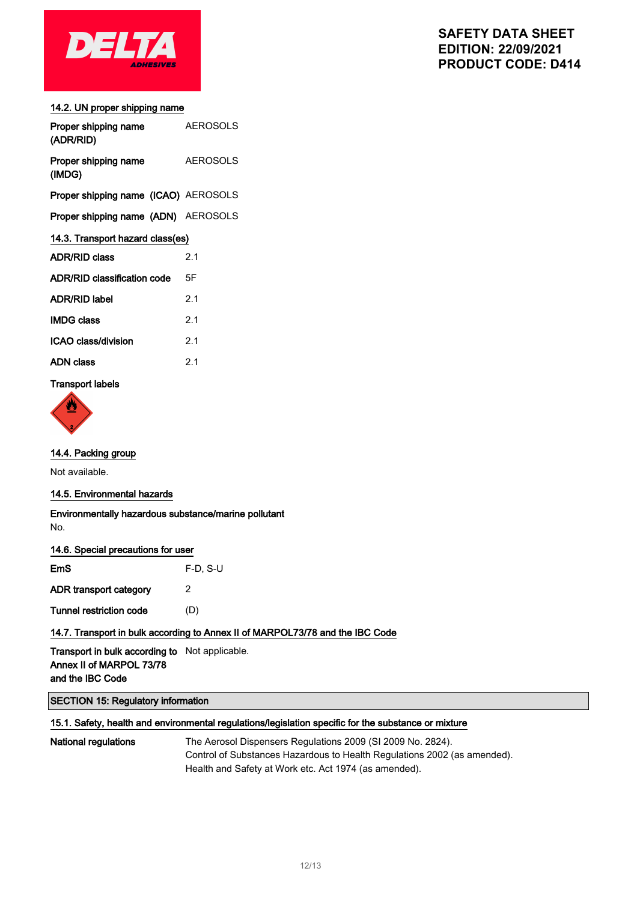

#### 14.2. UN proper shipping name

| Proper shipping name<br>(ADR/RID)           | <b>AEROSOLS</b> |  |
|---------------------------------------------|-----------------|--|
| Proper shipping name<br>(IMDG)              | <b>AEROSOLS</b> |  |
| <b>Proper shipping name (ICAO) AEROSOLS</b> |                 |  |
| Proper shipping name (ADN) AEROSOLS         |                 |  |
| 14.3. Transport hazard class(es)            |                 |  |
| <b>ADR/RID class</b>                        | 2.1             |  |
| <b>ADR/RID classification code</b>          | 5F              |  |
| <b>ADR/RID label</b>                        | 2.1             |  |
| <b>IMDG class</b>                           | 2.1             |  |
| ICAO class/division                         | 21              |  |
| ADN class                                   | 21              |  |
|                                             |                 |  |

### Transport labels



### 14.4. Packing group

Not available.

#### 14.5. Environmental hazards

Environmentally hazardous substance/marine pollutant No.

| <b>EmS</b>              | $F-D. S-U$ |
|-------------------------|------------|
| ADR transport category  | 2          |
| Tunnel restriction code | (D)        |

### 14.7. Transport in bulk according to Annex II of MARPOL73/78 and the IBC Code

Transport in bulk according to Not applicable. Annex II of MARPOL 73/78 and the IBC Code

### SECTION 15: Regulatory information

#### 15.1. Safety, health and environmental regulations/legislation specific for the substance or mixture

National regulations The Aerosol Dispensers Regulations 2009 (SI 2009 No. 2824). Control of Substances Hazardous to Health Regulations 2002 (as amended). Health and Safety at Work etc. Act 1974 (as amended).